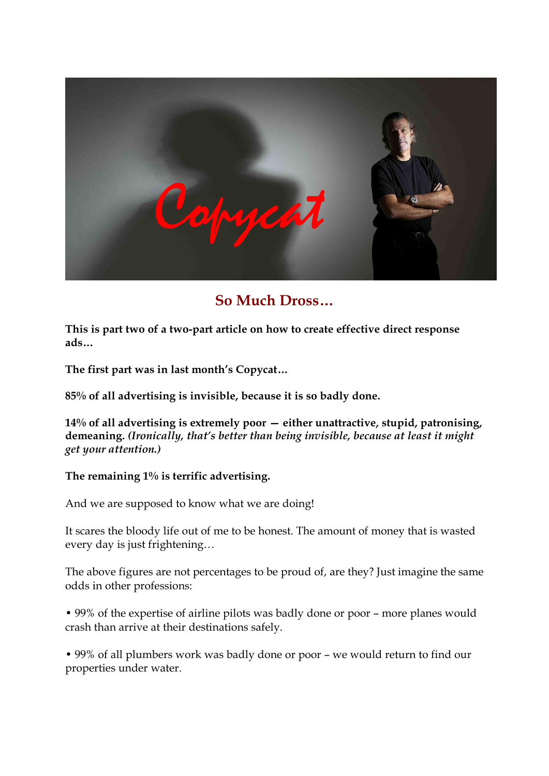

# **So Much Dross…**

This is part two of a two-part article on how to create effective direct response **ads…** 

**The first part was in last month's Copycat…** 

**85% of all advertising is invisible, because it is so badly done.**

**14% of all advertising is extremely poor — either unattractive, stupid, patronising, demeaning.** *(Ironically, that's better than being invisible, because at least it might get your attention.)*

#### **The remaining 1% is terrific advertising.**

And we are supposed to know what we are doing!

It scares the bloody life out of me to be honest. The amount of money that is wasted every day is just frightening…

The above figures are not percentages to be proud of, are they? Just imagine the same odds in other professions:

• 99% of the expertise of airline pilots was badly done or poor – more planes would crash than arrive at their destinations safely.

• 99% of all plumbers work was badly done or poor – we would return to find our properties under water.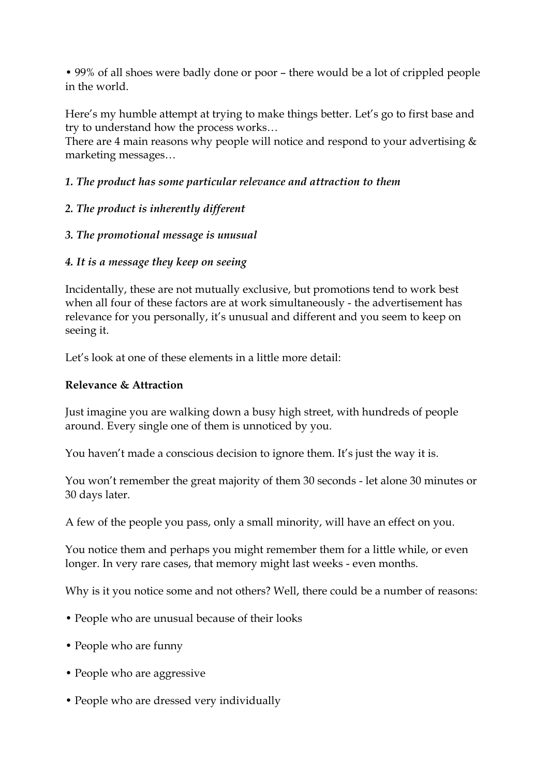• 99% of all shoes were badly done or poor – there would be a lot of crippled people in the world.

Here's my humble attempt at trying to make things better. Let's go to first base and try to understand how the process works…

There are 4 main reasons why people will notice and respond to your advertising  $\&$ marketing messages…

## *1. The product has some particular relevance and attraction to them*

# *2. The product is inherently different*

# *3. The promotional message is unusual*

# *4. It is a message they keep on seeing*

Incidentally, these are not mutually exclusive, but promotions tend to work best when all four of these factors are at work simultaneously - the advertisement has relevance for you personally, it's unusual and different and you seem to keep on seeing it.

Let's look at one of these elements in a little more detail:

## **Relevance & Attraction**

Just imagine you are walking down a busy high street, with hundreds of people around. Every single one of them is unnoticed by you.

You haven't made a conscious decision to ignore them. It's just the way it is.

You won't remember the great majority of them 30 seconds - let alone 30 minutes or 30 days later.

A few of the people you pass, only a small minority, will have an effect on you.

You notice them and perhaps you might remember them for a little while, or even longer. In very rare cases, that memory might last weeks - even months.

Why is it you notice some and not others? Well, there could be a number of reasons:

- People who are unusual because of their looks
- People who are funny
- People who are aggressive
- People who are dressed very individually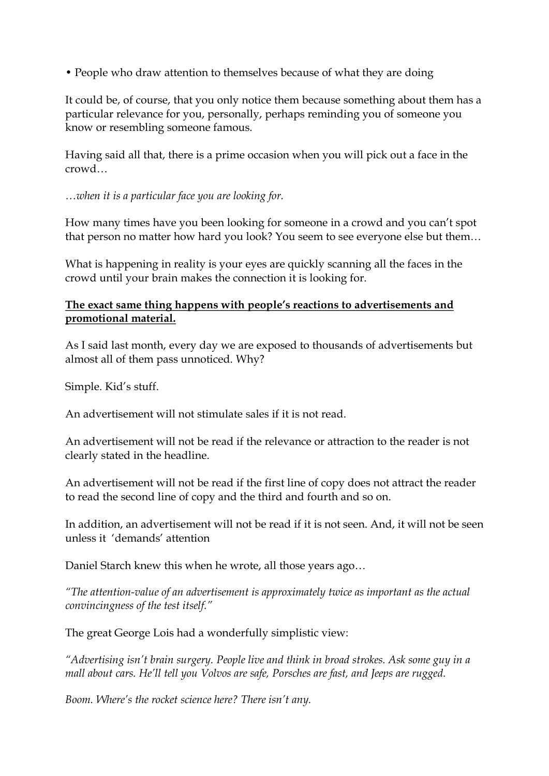• People who draw attention to themselves because of what they are doing

It could be, of course, that you only notice them because something about them has a particular relevance for you, personally, perhaps reminding you of someone you know or resembling someone famous.

Having said all that, there is a prime occasion when you will pick out a face in the crowd…

*…when it is a particular face you are looking for.*

How many times have you been looking for someone in a crowd and you can't spot that person no matter how hard you look? You seem to see everyone else but them…

What is happening in reality is your eyes are quickly scanning all the faces in the crowd until your brain makes the connection it is looking for.

#### **The exact same thing happens with people's reactions to advertisements and promotional material.**

As I said last month, every day we are exposed to thousands of advertisements but almost all of them pass unnoticed. Why?

Simple. Kid's stuff.

An advertisement will not stimulate sales if it is not read.

An advertisement will not be read if the relevance or attraction to the reader is not clearly stated in the headline.

An advertisement will not be read if the first line of copy does not attract the reader to read the second line of copy and the third and fourth and so on.

In addition, an advertisement will not be read if it is not seen. And, it will not be seen unless it 'demands' attention

Daniel Starch knew this when he wrote, all those years ago…

*"The* attention-value of an advertisement is approximately twice as important as the actual *convincingness of the test itself."*

The great George Lois had a wonderfully simplistic view:

*"Advertising isn't brain surgery. People live and think in broad strokes. Ask some guy in a mall about cars. He'll tell you Volvos are safe, Porsches are fast, and Jeeps are rugged.* 

*Boom. Where's the rocket science here? There isn't any.*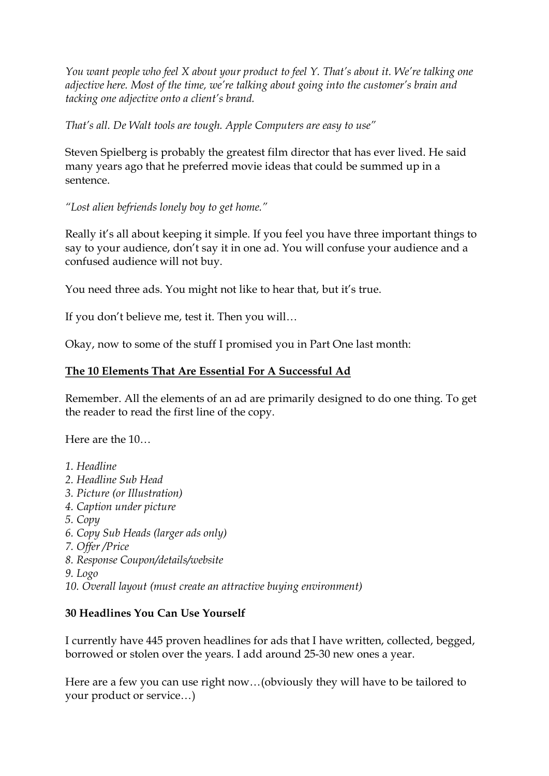*You want people who feel X about your product to feel Y. That's about it. We're talking one adjective here. Most of the time, we're talking about going into the customer's brain and tacking one adjective onto a client's brand.*

*That's all. De Walt tools are tough. Apple Computers are easy to use"*

Steven Spielberg is probably the greatest film director that has ever lived. He said many years ago that he preferred movie ideas that could be summed up in a sentence.

*"Lost alien befriends lonely boy to get home."*

Really it's all about keeping it simple. If you feel you have three important things to say to your audience, don't say it in one ad. You will confuse your audience and a confused audience will not buy.

You need three ads. You might not like to hear that, but it's true.

If you don't believe me, test it. Then you will…

Okay, now to some of the stuff I promised you in Part One last month:

#### **The 10 Elements That Are Essential For A Successful Ad**

Remember. All the elements of an ad are primarily designed to do one thing. To get the reader to read the first line of the copy.

Here are the 10…

*1. Headline 2. Headline Sub Head 3. Picture (or Illustration) 4. Caption under picture 5. Copy 6. Copy Sub Heads (larger ads only) 7. Offer /Price 8. Response Coupon/details/website 9. Logo 10. Overall layout (must create an attractive buying environment)*

## **30 Headlines You Can Use Yourself**

I currently have 445 proven headlines for ads that I have written, collected, begged, borrowed or stolen over the years. I add around 25-30 new ones a year.

Here are a few you can use right now…(obviously they will have to be tailored to your product or service…)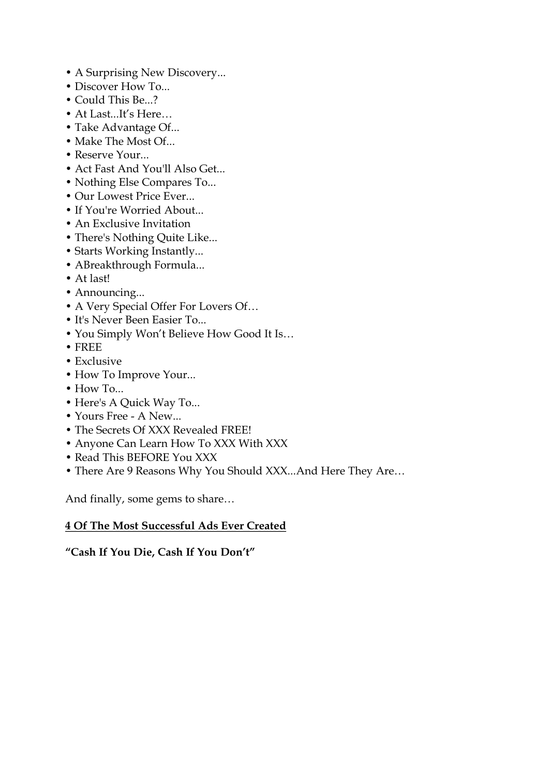- A Surprising New Discovery...
- Discover How To...
- 
- Could This Be...?<br>• At Last...It's Here…<br>• Take Advantage Of...
- 
- Make The Most Of...
- Reserve Your...
- Act Fast And You'll Also Get...
- Nothing Else Compares To...
- Our Lowest Price Ever...
- If You're Worried About.
- An Exclusive Invitation
- There's Nothing Quite Like...
- Starts Working Instantly...
- ABreakthrough Formula...
- 
- At last!<br>• Announcing...
- A Very Special Offer For Lovers Of...<br>• It's Never Been Easier To...
- 
- You Simply Won't Believe How Good It Is...<br>• FREE
- 
- 
- Exclusive<br>• How To Improve Your...
- How To...
- Here's A Quick Way To...
- Yours Free A New...
- 
- The Secrets Of XXX Revealed FREE! Anyone Can Learn How To XXX With XXX
- Read This BEFORE You XXX
- There Are 9 Reasons Why You Should XXX...And Here They Are…

And finally, some gems to share…

#### **4 Of The Most Successful Ads Ever Created**

**"Cash If You Die, Cash If You Don't"**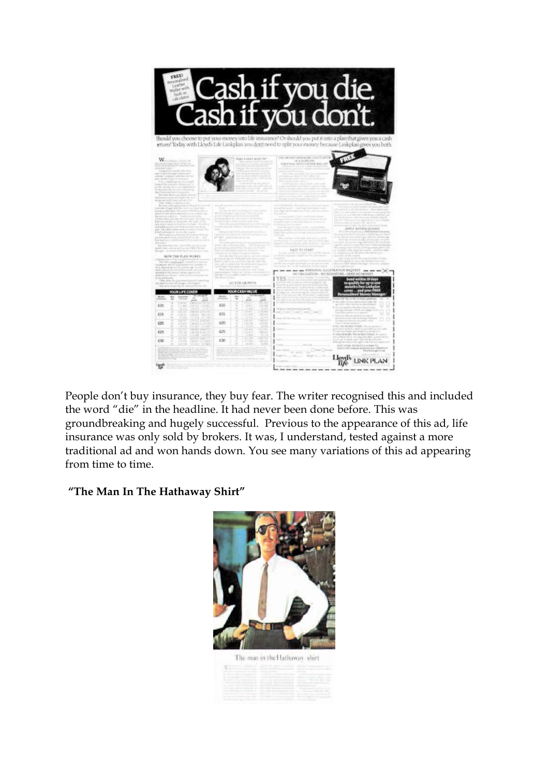

People don't buy insurance, they buy fear. The writer recognised this and included the word "die" in the headline. It had never been done before. This was groundbreaking and hugely successful. Previous to the appearance of this ad, life insurance was only sold by brokers. It was, I understand, tested against a more traditional ad and won hands down. You see many variations of this ad appearing from time to time.

#### **"The Man In The Hathaway Shirt"**

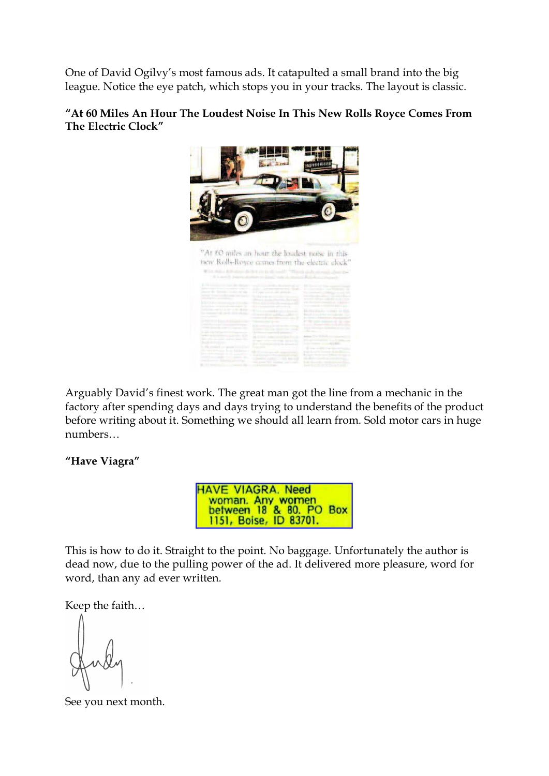One of David Ogilvy's most famous ads. It catapulted a small brand into the big league. Notice the eye patch, which stops you in your tracks. The layout is classic.

#### **"At 60 Miles An Hour The Loudest Noise In This New Rolls Royce Comes From The Electric Clock"**



Arguably David's finest work. The great man got the line from a mechanic in the factory after spending days and days trying to understand the benefits of the product before writing about it. Something we should all learn from. Sold motor cars in huge numbers…

#### **"Have Viagra"**

**HAVE VIAGRA. Need** woman. Any women<br>between 18 & 80. PO Box 1151, Boise, ID 83701.

This is how to do it. Straight to the point. No baggage. Unfortunately the author is dead now, due to the pulling power of the ad. It delivered more pleasure, word for word, than any ad ever written.

Keep the faith…

See you next month.